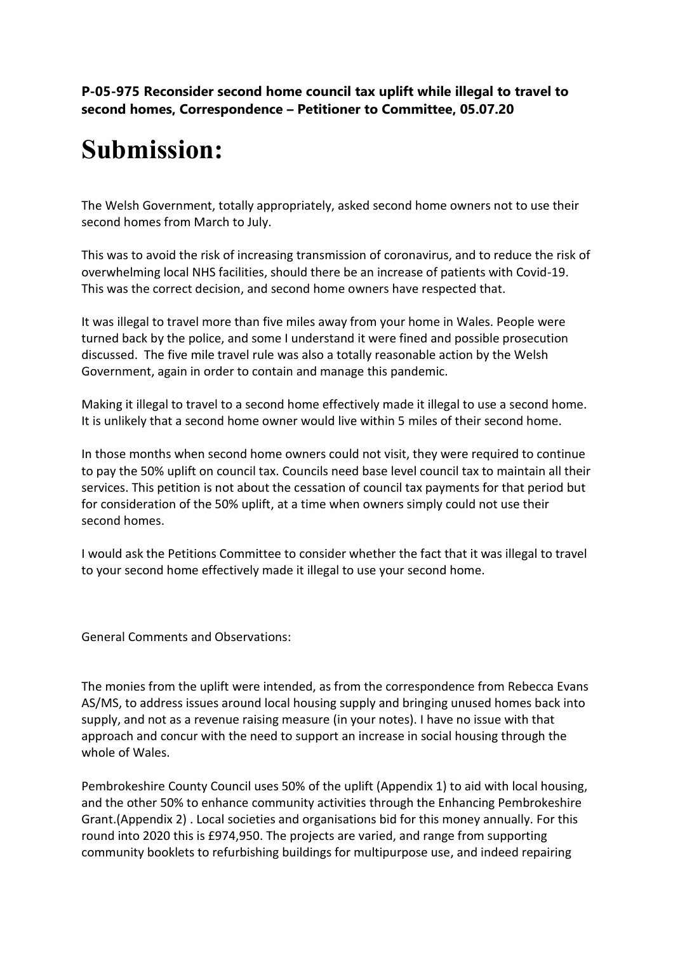**P-05-975 Reconsider second home council tax uplift while illegal to travel to second homes, Correspondence – Petitioner to Committee, 05.07.20**

### **Submission:**

The Welsh Government, totally appropriately, asked second home owners not to use their second homes from March to July.

This was to avoid the risk of increasing transmission of coronavirus, and to reduce the risk of overwhelming local NHS facilities, should there be an increase of patients with Covid-19. This was the correct decision, and second home owners have respected that.

It was illegal to travel more than five miles away from your home in Wales. People were turned back by the police, and some I understand it were fined and possible prosecution discussed. The five mile travel rule was also a totally reasonable action by the Welsh Government, again in order to contain and manage this pandemic.

Making it illegal to travel to a second home effectively made it illegal to use a second home. It is unlikely that a second home owner would live within 5 miles of their second home.

In those months when second home owners could not visit, they were required to continue to pay the 50% uplift on council tax. Councils need base level council tax to maintain all their services. This petition is not about the cessation of council tax payments for that period but for consideration of the 50% uplift, at a time when owners simply could not use their second homes.

I would ask the Petitions Committee to consider whether the fact that it was illegal to travel to your second home effectively made it illegal to use your second home.

General Comments and Observations:

The monies from the uplift were intended, as from the correspondence from Rebecca Evans AS/MS, to address issues around local housing supply and bringing unused homes back into supply, and not as a revenue raising measure (in your notes). I have no issue with that approach and concur with the need to support an increase in social housing through the whole of Wales.

Pembrokeshire County Council uses 50% of the uplift (Appendix 1) to aid with local housing, and the other 50% to enhance community activities through the Enhancing Pembrokeshire Grant.(Appendix 2) . Local societies and organisations bid for this money annually. For this round into 2020 this is £974,950. The projects are varied, and range from supporting community booklets to refurbishing buildings for multipurpose use, and indeed repairing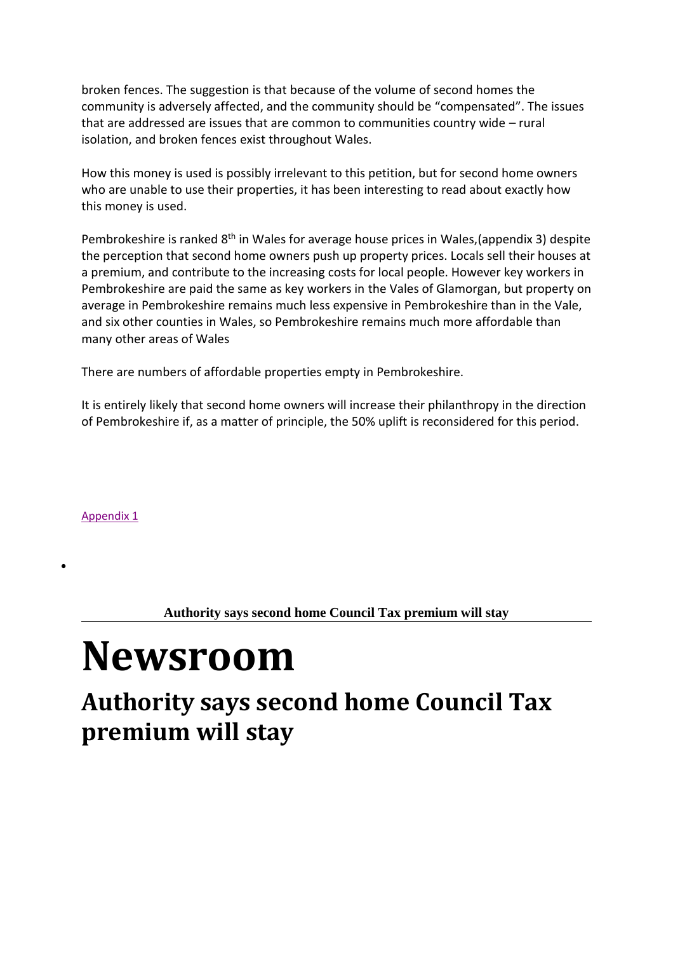broken fences. The suggestion is that because of the volume of second homes the community is adversely affected, and the community should be "compensated". The issues that are addressed are issues that are common to communities country wide – rural isolation, and broken fences exist throughout Wales.

How this money is used is possibly irrelevant to this petition, but for second home owners who are unable to use their properties, it has been interesting to read about exactly how this money is used.

Pembrokeshire is ranked 8<sup>th</sup> in Wales for average house prices in Wales,(appendix 3) despite the perception that second home owners push up property prices. Locals sell their houses at a premium, and contribute to the increasing costs for local people. However key workers in Pembrokeshire are paid the same as key workers in the Vales of Glamorgan, but property on average in Pembrokeshire remains much less expensive in Pembrokeshire than in the Vale, and six other counties in Wales, so Pembrokeshire remains much more affordable than many other areas of Wales

There are numbers of affordable properties empty in Pembrokeshire.

It is entirely likely that second home owners will increase their philanthropy in the direction of Pembrokeshire if, as a matter of principle, the 50% uplift is reconsidered for this period.

Appendix 1

 $\bullet$ 

**Authority says second home Council Tax premium will stay**

# **Newsroom**

#### **Authority says second home Council Tax premium will stay**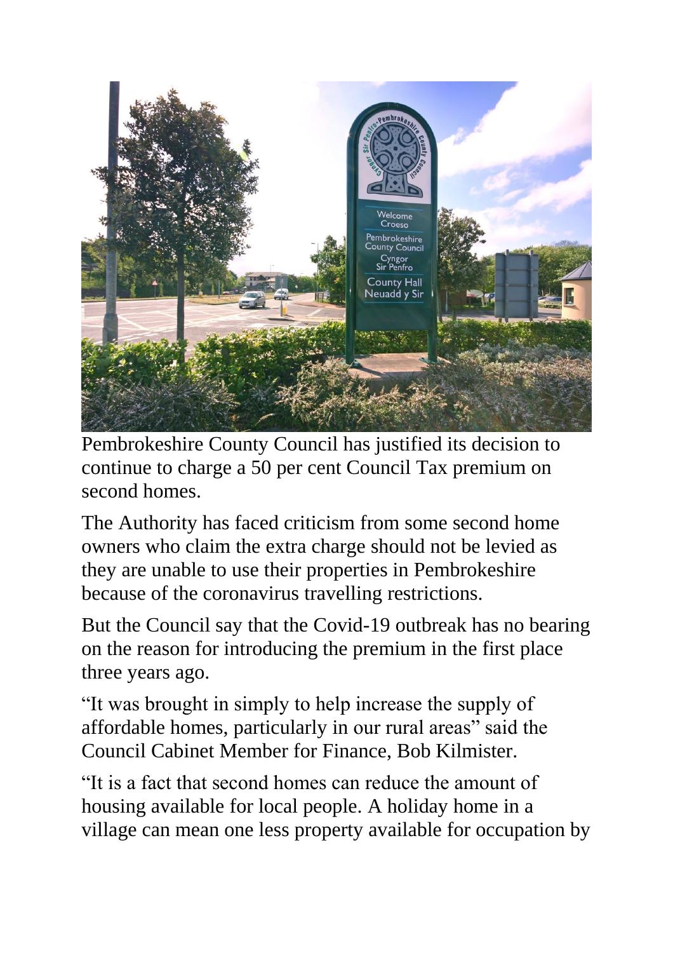

Pembrokeshire County Council has justified its decision to continue to charge a 50 per cent Council Tax premium on second homes.

The Authority has faced criticism from some second home owners who claim the extra charge should not be levied as they are unable to use their properties in Pembrokeshire because of the coronavirus travelling restrictions.

But the Council say that the Covid-19 outbreak has no bearing on the reason for introducing the premium in the first place three years ago.

"It was brought in simply to help increase the supply of affordable homes, particularly in our rural areas" said the Council Cabinet Member for Finance, Bob Kilmister.

"It is a fact that second homes can reduce the amount of housing available for local people. A holiday home in a village can mean one less property available for occupation by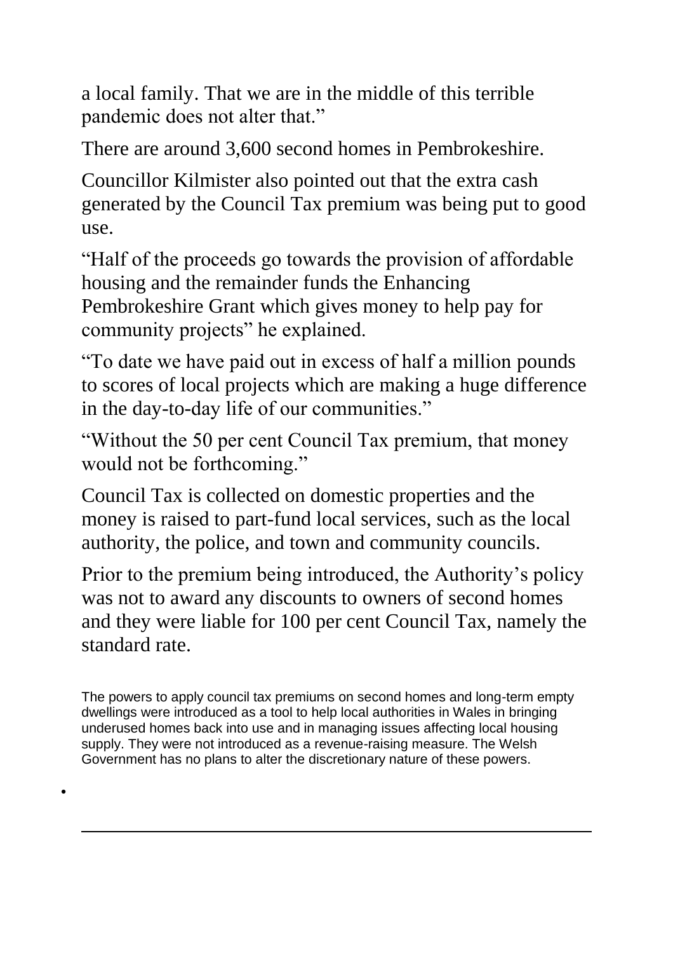a local family. That we are in the middle of this terrible pandemic does not alter that."

There are around 3,600 second homes in Pembrokeshire.

Councillor Kilmister also pointed out that the extra cash generated by the Council Tax premium was being put to good use.

"Half of the proceeds go towards the provision of affordable housing and the remainder funds the Enhancing Pembrokeshire Grant which gives money to help pay for community projects" he explained.

"To date we have paid out in excess of half a million pounds to scores of local projects which are making a huge difference in the day-to-day life of our communities."

"Without the 50 per cent Council Tax premium, that money would not be forthcoming."

Council Tax is collected on domestic properties and the money is raised to part-fund local services, such as the local authority, the police, and town and community councils.

Prior to the premium being introduced, the Authority's policy was not to award any discounts to owners of second homes and they were liable for 100 per cent Council Tax, namely the standard rate.

The powers to apply council tax premiums on second homes and long-term empty dwellings were introduced as a tool to help local authorities in Wales in bringing underused homes back into use and in managing issues affecting local housing supply. They were not introduced as a revenue-raising measure. The Welsh Government has no plans to alter the discretionary nature of these powers.

 $\bullet$